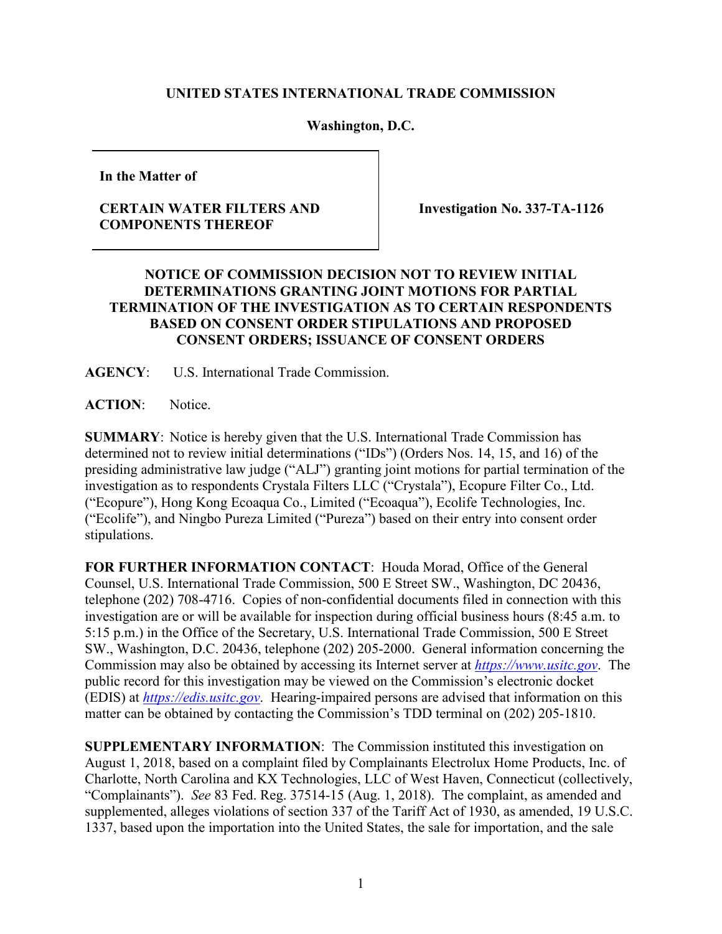## **UNITED STATES INTERNATIONAL TRADE COMMISSION**

## **Washington, D.C.**

**In the Matter of**

## **CERTAIN WATER FILTERS AND COMPONENTS THEREOF**

**Investigation No. 337-TA-1126**

## **NOTICE OF COMMISSION DECISION NOT TO REVIEW INITIAL DETERMINATIONS GRANTING JOINT MOTIONS FOR PARTIAL TERMINATION OF THE INVESTIGATION AS TO CERTAIN RESPONDENTS BASED ON CONSENT ORDER STIPULATIONS AND PROPOSED CONSENT ORDERS; ISSUANCE OF CONSENT ORDERS**

**AGENCY**: U.S. International Trade Commission.

**ACTION**: Notice.

**SUMMARY**: Notice is hereby given that the U.S. International Trade Commission has determined not to review initial determinations ("IDs") (Orders Nos. 14, 15, and 16) of the presiding administrative law judge ("ALJ") granting joint motions for partial termination of the investigation as to respondents Crystala Filters LLC ("Crystala"), Ecopure Filter Co., Ltd. ("Ecopure"), Hong Kong Ecoaqua Co., Limited ("Ecoaqua"), Ecolife Technologies, Inc. ("Ecolife"), and Ningbo Pureza Limited ("Pureza") based on their entry into consent order stipulations.

**FOR FURTHER INFORMATION CONTACT**: Houda Morad, Office of the General Counsel, U.S. International Trade Commission, 500 E Street SW., Washington, DC 20436, telephone (202) 708-4716. Copies of non-confidential documents filed in connection with this investigation are or will be available for inspection during official business hours (8:45 a.m. to 5:15 p.m.) in the Office of the Secretary, U.S. International Trade Commission, 500 E Street SW., Washington, D.C. 20436, telephone (202) 205-2000. General information concerning the Commission may also be obtained by accessing its Internet server at *[https://www.usitc.gov](https://www.usitc.gov/)*. The public record for this investigation may be viewed on the Commission's electronic docket (EDIS) at *[https://edis.usitc.gov](http://edis.usitc.gov/)*. Hearing-impaired persons are advised that information on this matter can be obtained by contacting the Commission's TDD terminal on (202) 205-1810.

**SUPPLEMENTARY INFORMATION**: The Commission instituted this investigation on August 1, 2018, based on a complaint filed by Complainants Electrolux Home Products, Inc. of Charlotte, North Carolina and KX Technologies, LLC of West Haven, Connecticut (collectively, "Complainants"). *See* 83 Fed. Reg. 37514-15 (Aug. 1, 2018). The complaint, as amended and supplemented, alleges violations of section 337 of the Tariff Act of 1930, as amended, 19 U.S.C. 1337, based upon the importation into the United States, the sale for importation, and the sale